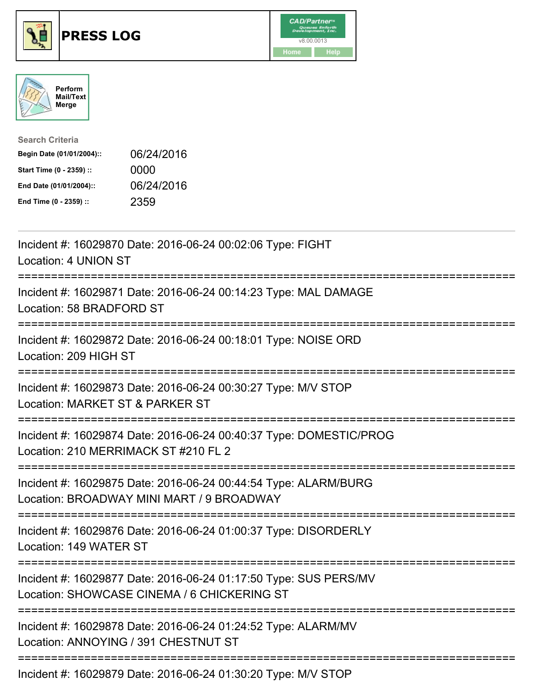





| <b>Search Criteria</b>    |            |
|---------------------------|------------|
| Begin Date (01/01/2004):: | 06/24/2016 |
| Start Time (0 - 2359) ::  | 0000       |
| End Date (01/01/2004)::   | 06/24/2016 |
| End Time (0 - 2359) ::    | 2359       |

| Incident #: 16029870 Date: 2016-06-24 00:02:06 Type: FIGHT<br>Location: 4 UNION ST                                                    |
|---------------------------------------------------------------------------------------------------------------------------------------|
| Incident #: 16029871 Date: 2016-06-24 00:14:23 Type: MAL DAMAGE<br>Location: 58 BRADFORD ST                                           |
| Incident #: 16029872 Date: 2016-06-24 00:18:01 Type: NOISE ORD<br>Location: 209 HIGH ST                                               |
| Incident #: 16029873 Date: 2016-06-24 00:30:27 Type: M/V STOP<br>Location: MARKET ST & PARKER ST                                      |
| Incident #: 16029874 Date: 2016-06-24 00:40:37 Type: DOMESTIC/PROG<br>Location: 210 MERRIMACK ST #210 FL 2                            |
| Incident #: 16029875 Date: 2016-06-24 00:44:54 Type: ALARM/BURG<br>Location: BROADWAY MINI MART / 9 BROADWAY<br>-----------------     |
| Incident #: 16029876 Date: 2016-06-24 01:00:37 Type: DISORDERLY<br>Location: 149 WATER ST                                             |
| Incident #: 16029877 Date: 2016-06-24 01:17:50 Type: SUS PERS/MV<br>Location: SHOWCASE CINEMA / 6 CHICKERING ST                       |
| ============================<br>Incident #: 16029878 Date: 2016-06-24 01:24:52 Type: ALARM/MV<br>Location: ANNOYING / 391 CHESTNUT ST |
| Incident #: 16029879 Date: 2016-06-24 01:30:20 Type: M/V STOP                                                                         |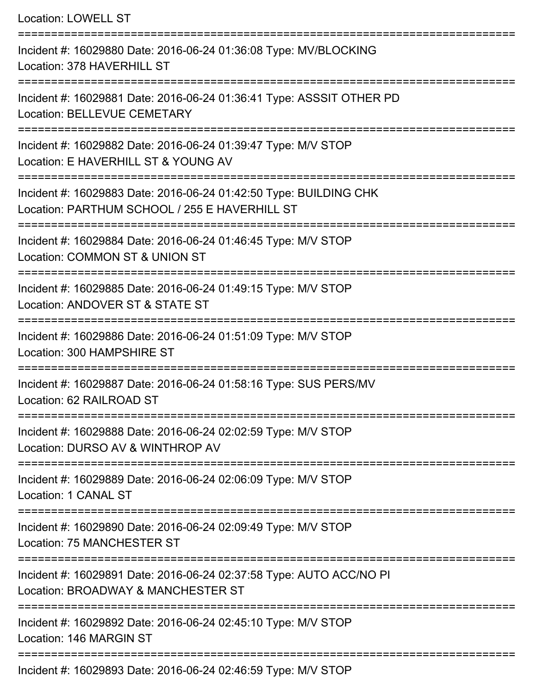| <b>Location: LOWELL ST</b>                                                                                                                          |
|-----------------------------------------------------------------------------------------------------------------------------------------------------|
| Incident #: 16029880 Date: 2016-06-24 01:36:08 Type: MV/BLOCKING<br>Location: 378 HAVERHILL ST                                                      |
| Incident #: 16029881 Date: 2016-06-24 01:36:41 Type: ASSSIT OTHER PD<br><b>Location: BELLEVUE CEMETARY</b>                                          |
| Incident #: 16029882 Date: 2016-06-24 01:39:47 Type: M/V STOP<br>Location: E HAVERHILL ST & YOUNG AV                                                |
| Incident #: 16029883 Date: 2016-06-24 01:42:50 Type: BUILDING CHK<br>Location: PARTHUM SCHOOL / 255 E HAVERHILL ST<br>============================= |
| Incident #: 16029884 Date: 2016-06-24 01:46:45 Type: M/V STOP<br>Location: COMMON ST & UNION ST                                                     |
| Incident #: 16029885 Date: 2016-06-24 01:49:15 Type: M/V STOP<br>Location: ANDOVER ST & STATE ST                                                    |
| ==============<br>Incident #: 16029886 Date: 2016-06-24 01:51:09 Type: M/V STOP<br>Location: 300 HAMPSHIRE ST                                       |
| -------------------<br>Incident #: 16029887 Date: 2016-06-24 01:58:16 Type: SUS PERS/MV<br>Location: 62 RAILROAD ST                                 |
| Incident #: 16029888 Date: 2016-06-24 02:02:59 Type: M/V STOP<br>Location: DURSO AV & WINTHROP AV                                                   |
| Incident #: 16029889 Date: 2016-06-24 02:06:09 Type: M/V STOP<br>Location: 1 CANAL ST                                                               |
| :===================<br>Incident #: 16029890 Date: 2016-06-24 02:09:49 Type: M/V STOP<br>Location: 75 MANCHESTER ST                                 |
| Incident #: 16029891 Date: 2016-06-24 02:37:58 Type: AUTO ACC/NO PI<br>Location: BROADWAY & MANCHESTER ST                                           |
| Incident #: 16029892 Date: 2016-06-24 02:45:10 Type: M/V STOP<br>Location: 146 MARGIN ST                                                            |
| Incident #: 16029893 Date: 2016-06-24 02:46:59 Type: M/V STOP                                                                                       |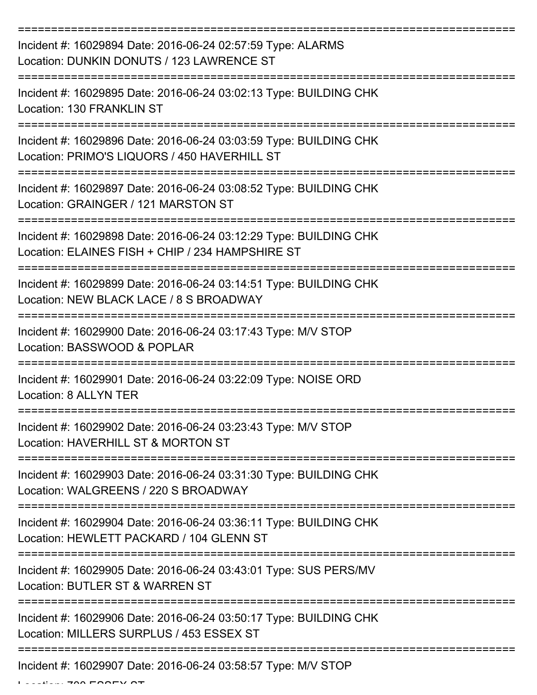| Incident #: 16029894 Date: 2016-06-24 02:57:59 Type: ALARMS<br>Location: DUNKIN DONUTS / 123 LAWRENCE ST<br>==================== |
|----------------------------------------------------------------------------------------------------------------------------------|
| Incident #: 16029895 Date: 2016-06-24 03:02:13 Type: BUILDING CHK<br>Location: 130 FRANKLIN ST                                   |
| Incident #: 16029896 Date: 2016-06-24 03:03:59 Type: BUILDING CHK<br>Location: PRIMO'S LIQUORS / 450 HAVERHILL ST                |
| Incident #: 16029897 Date: 2016-06-24 03:08:52 Type: BUILDING CHK<br>Location: GRAINGER / 121 MARSTON ST<br>------------         |
| Incident #: 16029898 Date: 2016-06-24 03:12:29 Type: BUILDING CHK<br>Location: ELAINES FISH + CHIP / 234 HAMPSHIRE ST            |
| Incident #: 16029899 Date: 2016-06-24 03:14:51 Type: BUILDING CHK<br>Location: NEW BLACK LACE / 8 S BROADWAY                     |
| Incident #: 16029900 Date: 2016-06-24 03:17:43 Type: M/V STOP<br>Location: BASSWOOD & POPLAR                                     |
| Incident #: 16029901 Date: 2016-06-24 03:22:09 Type: NOISE ORD<br>Location: 8 ALLYN TER                                          |
| Incident #: 16029902 Date: 2016-06-24 03:23:43 Type: M/V STOP<br>Location: HAVERHILL ST & MORTON ST                              |
| Incident #: 16029903 Date: 2016-06-24 03:31:30 Type: BUILDING CHK<br>Location: WALGREENS / 220 S BROADWAY                        |
| Incident #: 16029904 Date: 2016-06-24 03:36:11 Type: BUILDING CHK<br>Location: HEWLETT PACKARD / 104 GLENN ST                    |
| Incident #: 16029905 Date: 2016-06-24 03:43:01 Type: SUS PERS/MV<br>Location: BUTLER ST & WARREN ST                              |
| Incident #: 16029906 Date: 2016-06-24 03:50:17 Type: BUILDING CHK<br>Location: MILLERS SURPLUS / 453 ESSEX ST                    |
| Incident #: 16029907 Date: 2016-06-24 03:58:57 Type: M/V STOP                                                                    |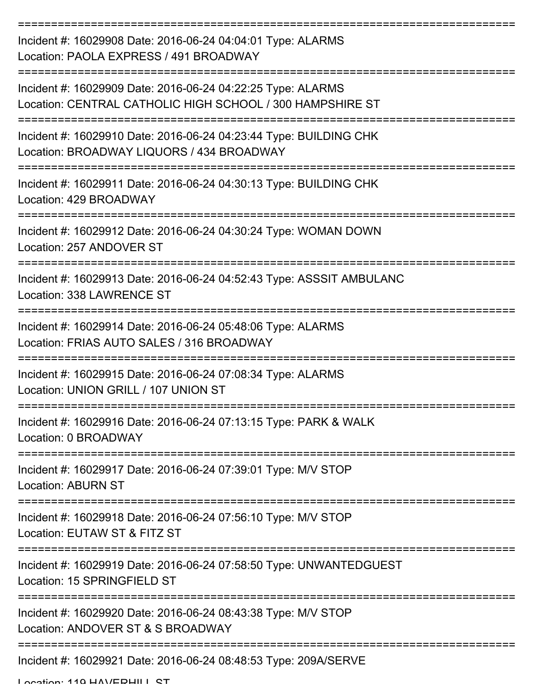| Incident #: 16029908 Date: 2016-06-24 04:04:01 Type: ALARMS<br>Location: PAOLA EXPRESS / 491 BROADWAY                    |
|--------------------------------------------------------------------------------------------------------------------------|
| Incident #: 16029909 Date: 2016-06-24 04:22:25 Type: ALARMS<br>Location: CENTRAL CATHOLIC HIGH SCHOOL / 300 HAMPSHIRE ST |
| Incident #: 16029910 Date: 2016-06-24 04:23:44 Type: BUILDING CHK<br>Location: BROADWAY LIQUORS / 434 BROADWAY           |
| Incident #: 16029911 Date: 2016-06-24 04:30:13 Type: BUILDING CHK<br>Location: 429 BROADWAY                              |
| Incident #: 16029912 Date: 2016-06-24 04:30:24 Type: WOMAN DOWN<br>Location: 257 ANDOVER ST                              |
| Incident #: 16029913 Date: 2016-06-24 04:52:43 Type: ASSSIT AMBULANC<br>Location: 338 LAWRENCE ST                        |
| Incident #: 16029914 Date: 2016-06-24 05:48:06 Type: ALARMS<br>Location: FRIAS AUTO SALES / 316 BROADWAY                 |
| Incident #: 16029915 Date: 2016-06-24 07:08:34 Type: ALARMS<br>Location: UNION GRILL / 107 UNION ST                      |
| Incident #: 16029916 Date: 2016-06-24 07:13:15 Type: PARK & WALK<br>Location: 0 BROADWAY                                 |
| Incident #: 16029917 Date: 2016-06-24 07:39:01 Type: M/V STOP<br><b>Location: ABURN ST</b>                               |
| Incident #: 16029918 Date: 2016-06-24 07:56:10 Type: M/V STOP<br>Location: EUTAW ST & FITZ ST                            |
| Incident #: 16029919 Date: 2016-06-24 07:58:50 Type: UNWANTEDGUEST<br>Location: 15 SPRINGFIELD ST                        |
| Incident #: 16029920 Date: 2016-06-24 08:43:38 Type: M/V STOP<br>Location: ANDOVER ST & S BROADWAY                       |
| Incident #: 16029921 Date: 2016-06-24 08:48:53 Type: 209A/SERVE                                                          |

Location: 110 HAV/EDHILL CT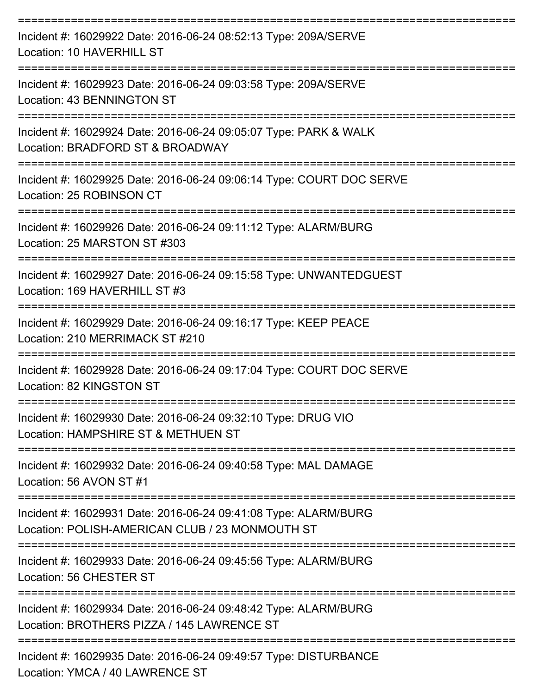| Incident #: 16029922 Date: 2016-06-24 08:52:13 Type: 209A/SERVE<br>Location: 10 HAVERHILL ST                       |
|--------------------------------------------------------------------------------------------------------------------|
| Incident #: 16029923 Date: 2016-06-24 09:03:58 Type: 209A/SERVE<br>Location: 43 BENNINGTON ST                      |
| Incident #: 16029924 Date: 2016-06-24 09:05:07 Type: PARK & WALK<br>Location: BRADFORD ST & BROADWAY               |
| Incident #: 16029925 Date: 2016-06-24 09:06:14 Type: COURT DOC SERVE<br>Location: 25 ROBINSON CT                   |
| Incident #: 16029926 Date: 2016-06-24 09:11:12 Type: ALARM/BURG<br>Location: 25 MARSTON ST #303                    |
| Incident #: 16029927 Date: 2016-06-24 09:15:58 Type: UNWANTEDGUEST<br>Location: 169 HAVERHILL ST #3                |
| Incident #: 16029929 Date: 2016-06-24 09:16:17 Type: KEEP PEACE<br>Location: 210 MERRIMACK ST #210                 |
| Incident #: 16029928 Date: 2016-06-24 09:17:04 Type: COURT DOC SERVE<br>Location: 82 KINGSTON ST                   |
| Incident #: 16029930 Date: 2016-06-24 09:32:10 Type: DRUG VIO<br>Location: HAMPSHIRE ST & METHUEN ST               |
| Incident #: 16029932 Date: 2016-06-24 09:40:58 Type: MAL DAMAGE<br>Location: 56 AVON ST #1                         |
| Incident #: 16029931 Date: 2016-06-24 09:41:08 Type: ALARM/BURG<br>Location: POLISH-AMERICAN CLUB / 23 MONMOUTH ST |
| Incident #: 16029933 Date: 2016-06-24 09:45:56 Type: ALARM/BURG<br>Location: 56 CHESTER ST                         |
| Incident #: 16029934 Date: 2016-06-24 09:48:42 Type: ALARM/BURG<br>Location: BROTHERS PIZZA / 145 LAWRENCE ST      |
| Incident #: 16029935 Date: 2016-06-24 09:49:57 Type: DISTURBANCE<br>Location: YMCA / 40 LAWRENCE ST                |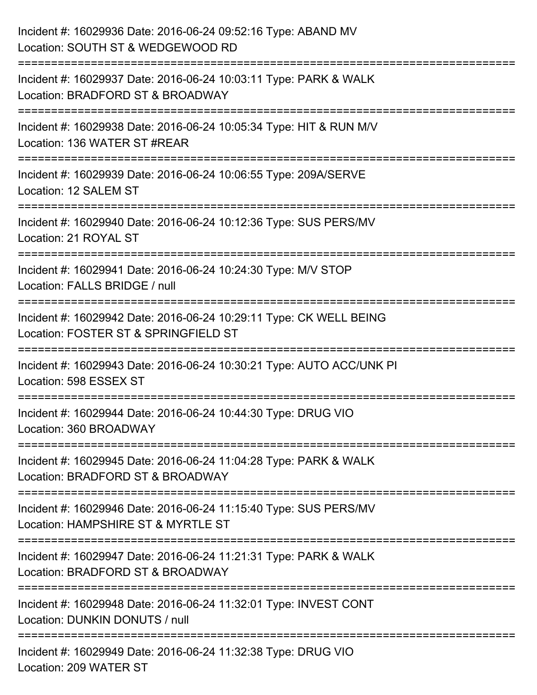| Incident #: 16029936 Date: 2016-06-24 09:52:16 Type: ABAND MV<br>Location: SOUTH ST & WEDGEWOOD RD                                      |
|-----------------------------------------------------------------------------------------------------------------------------------------|
| Incident #: 16029937 Date: 2016-06-24 10:03:11 Type: PARK & WALK<br>Location: BRADFORD ST & BROADWAY                                    |
| Incident #: 16029938 Date: 2016-06-24 10:05:34 Type: HIT & RUN M/V<br>Location: 136 WATER ST #REAR<br>:===============================  |
| Incident #: 16029939 Date: 2016-06-24 10:06:55 Type: 209A/SERVE<br>Location: 12 SALEM ST                                                |
| Incident #: 16029940 Date: 2016-06-24 10:12:36 Type: SUS PERS/MV<br>Location: 21 ROYAL ST                                               |
| Incident #: 16029941 Date: 2016-06-24 10:24:30 Type: M/V STOP<br>Location: FALLS BRIDGE / null                                          |
| Incident #: 16029942 Date: 2016-06-24 10:29:11 Type: CK WELL BEING<br>Location: FOSTER ST & SPRINGFIELD ST<br>=================         |
| Incident #: 16029943 Date: 2016-06-24 10:30:21 Type: AUTO ACC/UNK PI<br>Location: 598 ESSEX ST                                          |
| Incident #: 16029944 Date: 2016-06-24 10:44:30 Type: DRUG VIO<br>Location: 360 BROADWAY                                                 |
| Incident #: 16029945 Date: 2016-06-24 11:04:28 Type: PARK & WALK<br>Location: BRADFORD ST & BROADWAY<br>=============================== |
| Incident #: 16029946 Date: 2016-06-24 11:15:40 Type: SUS PERS/MV<br>Location: HAMPSHIRE ST & MYRTLE ST                                  |
| Incident #: 16029947 Date: 2016-06-24 11:21:31 Type: PARK & WALK<br>Location: BRADFORD ST & BROADWAY                                    |
| Incident #: 16029948 Date: 2016-06-24 11:32:01 Type: INVEST CONT<br>Location: DUNKIN DONUTS / null                                      |
| Incident #: 16029949 Date: 2016-06-24 11:32:38 Type: DRUG VIO<br>Location: 209 WATER ST                                                 |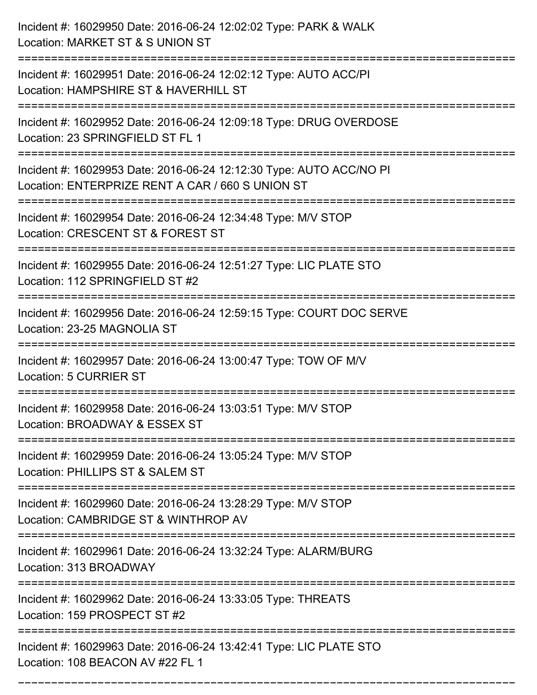| Incident #: 16029950 Date: 2016-06-24 12:02:02 Type: PARK & WALK<br>Location: MARKET ST & S UNION ST                                          |
|-----------------------------------------------------------------------------------------------------------------------------------------------|
| Incident #: 16029951 Date: 2016-06-24 12:02:12 Type: AUTO ACC/PI<br>Location: HAMPSHIRE ST & HAVERHILL ST                                     |
| Incident #: 16029952 Date: 2016-06-24 12:09:18 Type: DRUG OVERDOSE<br>Location: 23 SPRINGFIELD ST FL 1<br>==================================  |
| Incident #: 16029953 Date: 2016-06-24 12:12:30 Type: AUTO ACC/NO PI<br>Location: ENTERPRIZE RENT A CAR / 660 S UNION ST<br>:================= |
| Incident #: 16029954 Date: 2016-06-24 12:34:48 Type: M/V STOP<br>Location: CRESCENT ST & FOREST ST                                            |
| Incident #: 16029955 Date: 2016-06-24 12:51:27 Type: LIC PLATE STO<br>Location: 112 SPRINGFIELD ST #2                                         |
| Incident #: 16029956 Date: 2016-06-24 12:59:15 Type: COURT DOC SERVE<br>Location: 23-25 MAGNOLIA ST                                           |
| Incident #: 16029957 Date: 2016-06-24 13:00:47 Type: TOW OF M/V<br><b>Location: 5 CURRIER ST</b>                                              |
| Incident #: 16029958 Date: 2016-06-24 13:03:51 Type: M/V STOP<br>Location: BROADWAY & ESSEX ST                                                |
| Incident #: 16029959 Date: 2016-06-24 13:05:24 Type: M/V STOP<br>Location: PHILLIPS ST & SALEM ST                                             |
| Incident #: 16029960 Date: 2016-06-24 13:28:29 Type: M/V STOP<br>Location: CAMBRIDGE ST & WINTHROP AV                                         |
| Incident #: 16029961 Date: 2016-06-24 13:32:24 Type: ALARM/BURG<br>Location: 313 BROADWAY                                                     |
| Incident #: 16029962 Date: 2016-06-24 13:33:05 Type: THREATS<br>Location: 159 PROSPECT ST #2                                                  |
| Incident #: 16029963 Date: 2016-06-24 13:42:41 Type: LIC PLATE STO<br>Location: 108 BEACON AV #22 FL 1                                        |

===========================================================================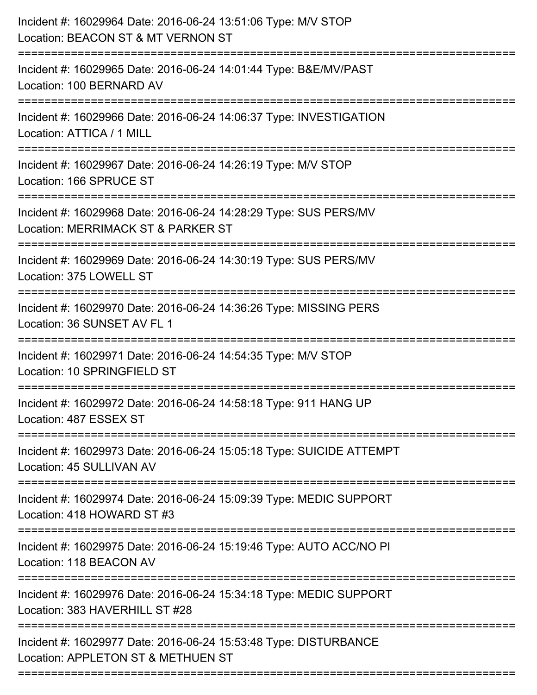| Incident #: 16029964 Date: 2016-06-24 13:51:06 Type: M/V STOP<br>Location: BEACON ST & MT VERNON ST<br>======================        |
|--------------------------------------------------------------------------------------------------------------------------------------|
| Incident #: 16029965 Date: 2016-06-24 14:01:44 Type: B&E/MV/PAST<br>Location: 100 BERNARD AV                                         |
| Incident #: 16029966 Date: 2016-06-24 14:06:37 Type: INVESTIGATION<br>Location: ATTICA / 1 MILL<br>.================================ |
| Incident #: 16029967 Date: 2016-06-24 14:26:19 Type: M/V STOP<br>Location: 166 SPRUCE ST                                             |
| Incident #: 16029968 Date: 2016-06-24 14:28:29 Type: SUS PERS/MV<br>Location: MERRIMACK ST & PARKER ST                               |
| Incident #: 16029969 Date: 2016-06-24 14:30:19 Type: SUS PERS/MV<br>Location: 375 LOWELL ST                                          |
| Incident #: 16029970 Date: 2016-06-24 14:36:26 Type: MISSING PERS<br>Location: 36 SUNSET AV FL 1                                     |
| Incident #: 16029971 Date: 2016-06-24 14:54:35 Type: M/V STOP<br>Location: 10 SPRINGFIELD ST                                         |
| Incident #: 16029972 Date: 2016-06-24 14:58:18 Type: 911 HANG UP<br>Location: 487 ESSEX ST                                           |
| Incident #: 16029973 Date: 2016-06-24 15:05:18 Type: SUICIDE ATTEMPT<br>Location: 45 SULLIVAN AV                                     |
| Incident #: 16029974 Date: 2016-06-24 15:09:39 Type: MEDIC SUPPORT<br>Location: 418 HOWARD ST #3                                     |
| Incident #: 16029975 Date: 2016-06-24 15:19:46 Type: AUTO ACC/NO PI<br>Location: 118 BEACON AV                                       |
| Incident #: 16029976 Date: 2016-06-24 15:34:18 Type: MEDIC SUPPORT<br>Location: 383 HAVERHILL ST #28                                 |
| Incident #: 16029977 Date: 2016-06-24 15:53:48 Type: DISTURBANCE<br>Location: APPLETON ST & METHUEN ST                               |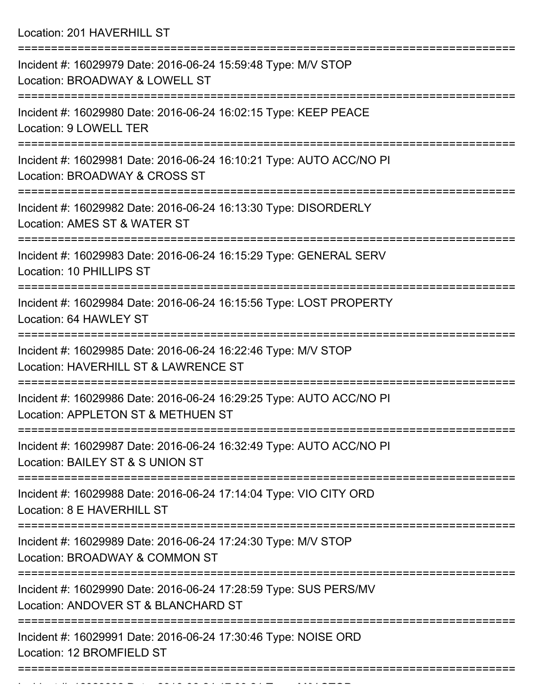Location: 201 HAVERHILL ST

| Incident #: 16029979 Date: 2016-06-24 15:59:48 Type: M/V STOP<br>Location: BROADWAY & LOWELL ST                         |
|-------------------------------------------------------------------------------------------------------------------------|
| Incident #: 16029980 Date: 2016-06-24 16:02:15 Type: KEEP PEACE<br>Location: 9 LOWELL TER                               |
| Incident #: 16029981 Date: 2016-06-24 16:10:21 Type: AUTO ACC/NO PI<br>Location: BROADWAY & CROSS ST                    |
| Incident #: 16029982 Date: 2016-06-24 16:13:30 Type: DISORDERLY<br>Location: AMES ST & WATER ST                         |
| Incident #: 16029983 Date: 2016-06-24 16:15:29 Type: GENERAL SERV<br>Location: 10 PHILLIPS ST                           |
| Incident #: 16029984 Date: 2016-06-24 16:15:56 Type: LOST PROPERTY<br>Location: 64 HAWLEY ST                            |
| Incident #: 16029985 Date: 2016-06-24 16:22:46 Type: M/V STOP<br>Location: HAVERHILL ST & LAWRENCE ST                   |
| Incident #: 16029986 Date: 2016-06-24 16:29:25 Type: AUTO ACC/NO PI<br>Location: APPLETON ST & METHUEN ST               |
| Incident #: 16029987 Date: 2016-06-24 16:32:49 Type: AUTO ACC/NO PI<br>Location: BAILEY ST & S UNION ST                 |
| :===================<br>Incident #: 16029988 Date: 2016-06-24 17:14:04 Type: VIO CITY ORD<br>Location: 8 E HAVERHILL ST |
| Incident #: 16029989 Date: 2016-06-24 17:24:30 Type: M/V STOP<br>Location: BROADWAY & COMMON ST                         |
| Incident #: 16029990 Date: 2016-06-24 17:28:59 Type: SUS PERS/MV<br>Location: ANDOVER ST & BLANCHARD ST                 |
| Incident #: 16029991 Date: 2016-06-24 17:30:46 Type: NOISE ORD<br>Location: 12 BROMFIELD ST                             |
|                                                                                                                         |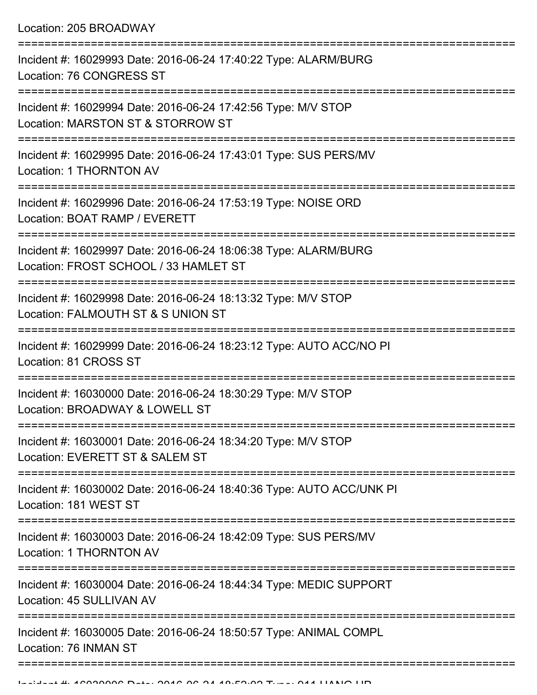Location: 205 BROADWAY =========================================================================== Incident #: 16029993 Date: 2016-06-24 17:40:22 Type: ALARM/BURG Location: 76 CONGRESS ST =========================================================================== Incident #: 16029994 Date: 2016-06-24 17:42:56 Type: M/V STOP Location: MARSTON ST & STORROW ST =========================================================================== Incident #: 16029995 Date: 2016-06-24 17:43:01 Type: SUS PERS/MV Location: 1 THORNTON AV =========================================================================== Incident #: 16029996 Date: 2016-06-24 17:53:19 Type: NOISE ORD Location: BOAT RAMP / EVERETT =========================================================================== Incident #: 16029997 Date: 2016-06-24 18:06:38 Type: ALARM/BURG Location: FROST SCHOOL / 33 HAMLET ST =========================================================================== Incident #: 16029998 Date: 2016-06-24 18:13:32 Type: M/V STOP Location: FALMOUTH ST & S UNION ST =========================================================================== Incident #: 16029999 Date: 2016-06-24 18:23:12 Type: AUTO ACC/NO PI Location: 81 CROSS ST =========================================================================== Incident #: 16030000 Date: 2016-06-24 18:30:29 Type: M/V STOP Location: BROADWAY & LOWELL ST =========================================================================== Incident #: 16030001 Date: 2016-06-24 18:34:20 Type: M/V STOP Location: EVERETT ST & SALEM ST =========================================================================== Incident #: 16030002 Date: 2016-06-24 18:40:36 Type: AUTO ACC/UNK PI Location: 181 WEST ST =========================================================================== Incident #: 16030003 Date: 2016-06-24 18:42:09 Type: SUS PERS/MV Location: 1 THORNTON AV =========================================================================== Incident #: 16030004 Date: 2016-06-24 18:44:34 Type: MEDIC SUPPORT Location: 45 SULLIVAN AV =========================================================================== Incident #: 16030005 Date: 2016-06-24 18:50:57 Type: ANIMAL COMPL Location: 76 INMAN ST

==============================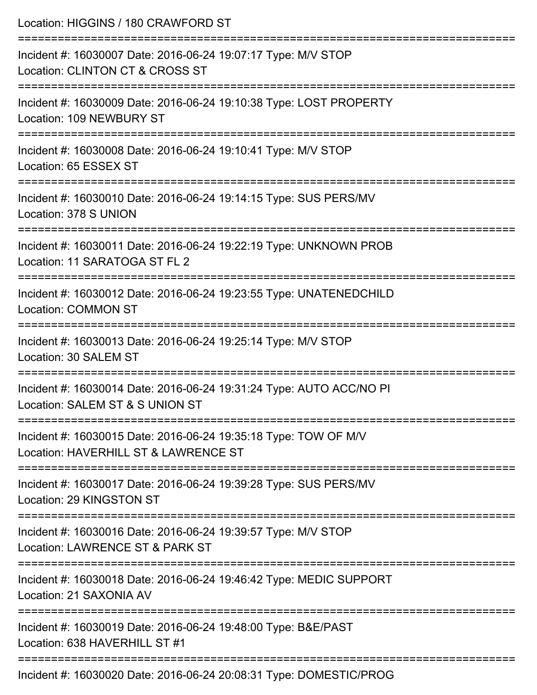| Location: HIGGINS / 180 CRAWFORD ST                                                                                         |
|-----------------------------------------------------------------------------------------------------------------------------|
| Incident #: 16030007 Date: 2016-06-24 19:07:17 Type: M/V STOP<br>Location: CLINTON CT & CROSS ST                            |
| Incident #: 16030009 Date: 2016-06-24 19:10:38 Type: LOST PROPERTY<br>Location: 109 NEWBURY ST                              |
| Incident #: 16030008 Date: 2016-06-24 19:10:41 Type: M/V STOP<br>Location: 65 ESSEX ST                                      |
| Incident #: 16030010 Date: 2016-06-24 19:14:15 Type: SUS PERS/MV<br>Location: 378 S UNION                                   |
| Incident #: 16030011 Date: 2016-06-24 19:22:19 Type: UNKNOWN PROB<br>Location: 11 SARATOGA ST FL 2                          |
| :======================<br>Incident #: 16030012 Date: 2016-06-24 19:23:55 Type: UNATENEDCHILD<br><b>Location: COMMON ST</b> |
| Incident #: 16030013 Date: 2016-06-24 19:25:14 Type: M/V STOP<br>Location: 30 SALEM ST                                      |
| Incident #: 16030014 Date: 2016-06-24 19:31:24 Type: AUTO ACC/NO PI<br>Location: SALEM ST & S UNION ST                      |
| Incident #: 16030015 Date: 2016-06-24 19:35:18 Type: TOW OF M/V<br>Location: HAVERHILL ST & LAWRENCE ST                     |
| Incident #: 16030017 Date: 2016-06-24 19:39:28 Type: SUS PERS/MV<br>Location: 29 KINGSTON ST                                |
| Incident #: 16030016 Date: 2016-06-24 19:39:57 Type: M/V STOP<br>Location: LAWRENCE ST & PARK ST                            |
| Incident #: 16030018 Date: 2016-06-24 19:46:42 Type: MEDIC SUPPORT<br>Location: 21 SAXONIA AV                               |
| Incident #: 16030019 Date: 2016-06-24 19:48:00 Type: B&E/PAST<br>Location: 638 HAVERHILL ST #1                              |
| Incident #: 16030020 Date: 2016-06-24 20:08:31 Type: DOMESTIC/PROG                                                          |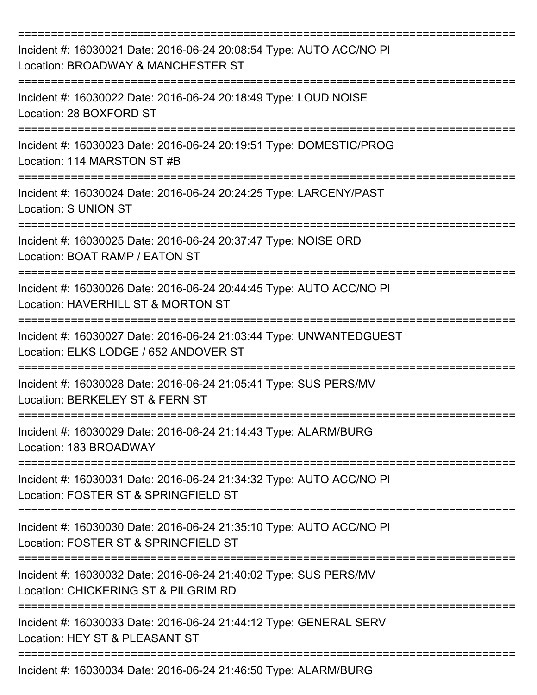| Incident #: 16030021 Date: 2016-06-24 20:08:54 Type: AUTO ACC/NO PI<br>Location: BROADWAY & MANCHESTER ST<br>====================== |
|-------------------------------------------------------------------------------------------------------------------------------------|
| Incident #: 16030022 Date: 2016-06-24 20:18:49 Type: LOUD NOISE<br>Location: 28 BOXFORD ST                                          |
| Incident #: 16030023 Date: 2016-06-24 20:19:51 Type: DOMESTIC/PROG<br>Location: 114 MARSTON ST #B                                   |
| Incident #: 16030024 Date: 2016-06-24 20:24:25 Type: LARCENY/PAST<br>Location: S UNION ST<br>----------                             |
| Incident #: 16030025 Date: 2016-06-24 20:37:47 Type: NOISE ORD<br>Location: BOAT RAMP / EATON ST                                    |
| Incident #: 16030026 Date: 2016-06-24 20:44:45 Type: AUTO ACC/NO PI<br>Location: HAVERHILL ST & MORTON ST                           |
| Incident #: 16030027 Date: 2016-06-24 21:03:44 Type: UNWANTEDGUEST<br>Location: ELKS LODGE / 652 ANDOVER ST                         |
| Incident #: 16030028 Date: 2016-06-24 21:05:41 Type: SUS PERS/MV<br>Location: BERKELEY ST & FERN ST                                 |
| Incident #: 16030029 Date: 2016-06-24 21:14:43 Type: ALARM/BURG<br>Location: 183 BROADWAY                                           |
| Incident #: 16030031 Date: 2016-06-24 21:34:32 Type: AUTO ACC/NO PI<br>Location: FOSTER ST & SPRINGFIELD ST                         |
| Incident #: 16030030 Date: 2016-06-24 21:35:10 Type: AUTO ACC/NO PI<br>Location: FOSTER ST & SPRINGFIELD ST                         |
| Incident #: 16030032 Date: 2016-06-24 21:40:02 Type: SUS PERS/MV<br>Location: CHICKERING ST & PILGRIM RD                            |
| Incident #: 16030033 Date: 2016-06-24 21:44:12 Type: GENERAL SERV<br>Location: HEY ST & PLEASANT ST                                 |
| Incident #: 16030034 Date: 2016-06-24 21:46:50 Type: ALARM/BURG                                                                     |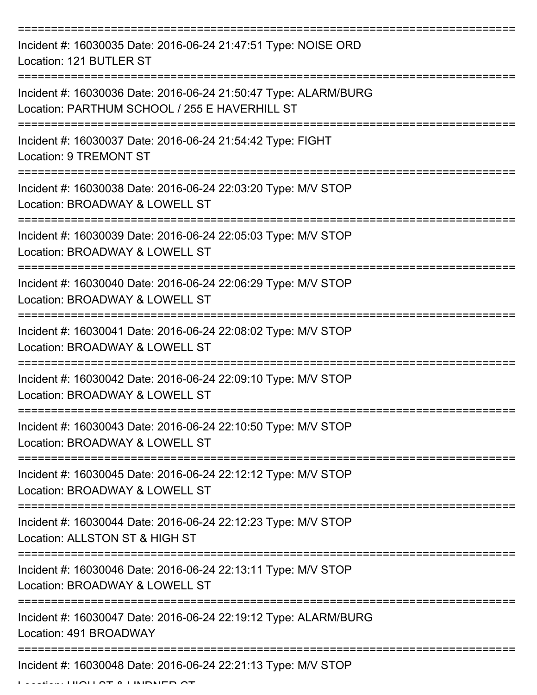| Incident #: 16030035 Date: 2016-06-24 21:47:51 Type: NOISE ORD<br>Location: 121 BUTLER ST                        |
|------------------------------------------------------------------------------------------------------------------|
| Incident #: 16030036 Date: 2016-06-24 21:50:47 Type: ALARM/BURG<br>Location: PARTHUM SCHOOL / 255 E HAVERHILL ST |
| Incident #: 16030037 Date: 2016-06-24 21:54:42 Type: FIGHT<br><b>Location: 9 TREMONT ST</b>                      |
| Incident #: 16030038 Date: 2016-06-24 22:03:20 Type: M/V STOP<br>Location: BROADWAY & LOWELL ST                  |
| Incident #: 16030039 Date: 2016-06-24 22:05:03 Type: M/V STOP<br>Location: BROADWAY & LOWELL ST                  |
| Incident #: 16030040 Date: 2016-06-24 22:06:29 Type: M/V STOP<br>Location: BROADWAY & LOWELL ST                  |
| Incident #: 16030041 Date: 2016-06-24 22:08:02 Type: M/V STOP<br>Location: BROADWAY & LOWELL ST                  |
| Incident #: 16030042 Date: 2016-06-24 22:09:10 Type: M/V STOP<br>Location: BROADWAY & LOWELL ST                  |
| Incident #: 16030043 Date: 2016-06-24 22:10:50 Type: M/V STOP<br>Location: BROADWAY & LOWELL ST                  |
| Incident #: 16030045 Date: 2016-06-24 22:12:12 Type: M/V STOP<br>Location: BROADWAY & LOWELL ST                  |
| Incident #: 16030044 Date: 2016-06-24 22:12:23 Type: M/V STOP<br>Location: ALLSTON ST & HIGH ST                  |
| Incident #: 16030046 Date: 2016-06-24 22:13:11 Type: M/V STOP<br>Location: BROADWAY & LOWELL ST                  |
| Incident #: 16030047 Date: 2016-06-24 22:19:12 Type: ALARM/BURG<br>Location: 491 BROADWAY                        |
| Incident #: 16030048 Date: 2016-06-24 22:21:13 Type: M/V STOP                                                    |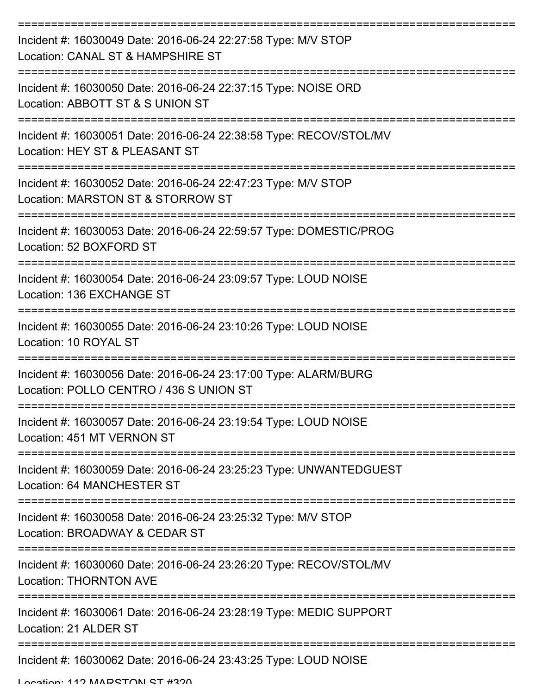| Incident #: 16030049 Date: 2016-06-24 22:27:58 Type: M/V STOP<br>Location: CANAL ST & HAMPSHIRE ST         |
|------------------------------------------------------------------------------------------------------------|
| Incident #: 16030050 Date: 2016-06-24 22:37:15 Type: NOISE ORD<br>Location: ABBOTT ST & S UNION ST         |
| Incident #: 16030051 Date: 2016-06-24 22:38:58 Type: RECOV/STOL/MV<br>Location: HEY ST & PLEASANT ST       |
| Incident #: 16030052 Date: 2016-06-24 22:47:23 Type: M/V STOP<br>Location: MARSTON ST & STORROW ST         |
| Incident #: 16030053 Date: 2016-06-24 22:59:57 Type: DOMESTIC/PROG<br>Location: 52 BOXFORD ST              |
| Incident #: 16030054 Date: 2016-06-24 23:09:57 Type: LOUD NOISE<br>Location: 136 EXCHANGE ST               |
| Incident #: 16030055 Date: 2016-06-24 23:10:26 Type: LOUD NOISE<br>Location: 10 ROYAL ST                   |
| Incident #: 16030056 Date: 2016-06-24 23:17:00 Type: ALARM/BURG<br>Location: POLLO CENTRO / 436 S UNION ST |
| Incident #: 16030057 Date: 2016-06-24 23:19:54 Type: LOUD NOISE<br>Location: 451 MT VERNON ST              |
| Incident #: 16030059 Date: 2016-06-24 23:25:23 Type: UNWANTEDGUEST<br><b>Location: 64 MANCHESTER ST</b>    |
| Incident #: 16030058 Date: 2016-06-24 23:25:32 Type: M/V STOP<br>Location: BROADWAY & CEDAR ST             |
| Incident #: 16030060 Date: 2016-06-24 23:26:20 Type: RECOV/STOL/MV<br><b>Location: THORNTON AVE</b>        |
| Incident #: 16030061 Date: 2016-06-24 23:28:19 Type: MEDIC SUPPORT<br>Location: 21 ALDER ST                |
| Incident #: 16030062 Date: 2016-06-24 23:43:25 Type: LOUD NOISE                                            |

Location: 112 MADSTON ST #320